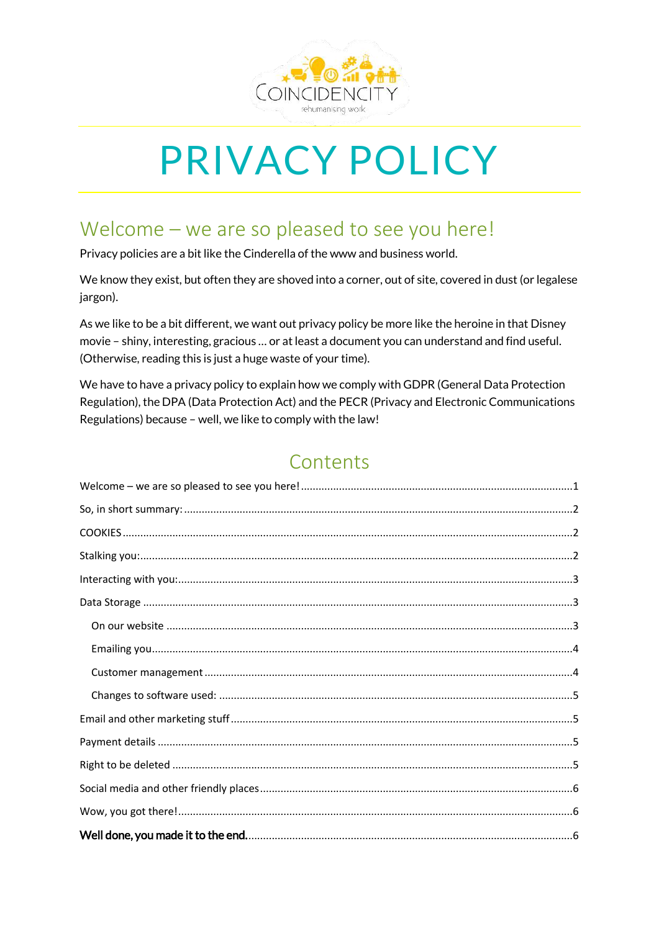

# **PRIVACY POLICY**

### <span id="page-0-0"></span>Welcome - we are so pleased to see you here!

Privacy policies are a bit like the Cinderella of the www and business world.

We know they exist, but often they are shoved into a corner, out of site, covered in dust (or legalese jargon).

As we like to be a bit different, we want out privacy policy be more like the heroine in that Disney movie - shiny, interesting, gracious ... or at least a document you can understand and find useful. (Otherwise, reading this is just a huge waste of your time).

We have to have a privacy policy to explain how we comply with GDPR (General Data Protection Regulation), the DPA (Data Protection Act) and the PECR (Privacy and Electronic Communications Regulations) because - well, we like to comply with the law!

### Contents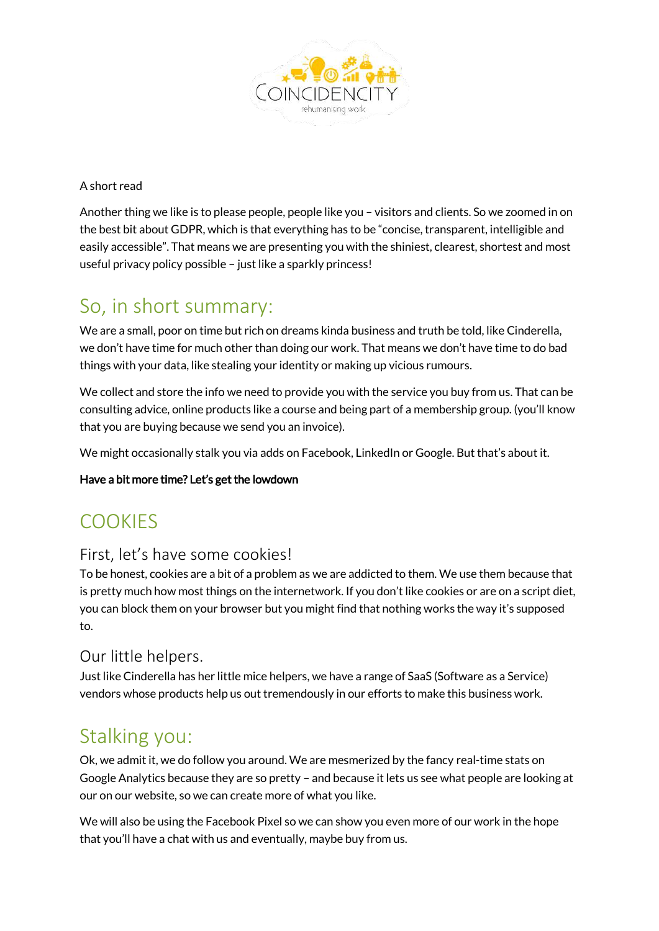

#### A short read

Another thing we like is to please people, people like you – visitors and clients. So we zoomed in on the best bit about GDPR, which is that everything has to be "concise, transparent, intelligible and easily accessible". That means we are presenting you with the shiniest, clearest, shortest and most useful privacy policy possible – just like a sparkly princess!

### <span id="page-1-0"></span>So, in short summary:

We are a small, poor on time but rich on dreams kinda business and truth be told, like Cinderella, we don't have time for much other than doing our work. That means we don't have time to do bad things with your data, like stealing your identity or making up vicious rumours.

We collect and store the info we need to provide you with the service you buy from us. That can be consulting advice, online products like a course and being part of a membership group. (you'll know that you are buying because we send you an invoice).

We might occasionally stalk you via adds on Facebook, LinkedIn or Google. But that's about it.

#### Have a bit more time? Let's get the lowdown

### <span id="page-1-1"></span>**COOKIES**

#### First, let's have some cookies!

To be honest, cookies are a bit of a problem as we are addicted to them. We use them because that is pretty much how most things on the internetwork. If you don't like cookies or are on a script diet, you can block them on your browser but you might find that nothing works the way it's supposed to.

#### Our little helpers.

Just like Cinderella has her little mice helpers, we have a range of SaaS (Software as a Service) vendors whose products help us out tremendously in our efforts to make this business work.

### <span id="page-1-2"></span>Stalking you:

Ok, we admit it, we do follow you around. We are mesmerized by the fancy real-time stats on Google Analytics because they are so pretty – and because it lets us see what people are looking at our on our website, so we can create more of what you like.

We will also be using the Facebook Pixel so we can show you even more of our work in the hope that you'll have a chat with us and eventually, maybe buy from us.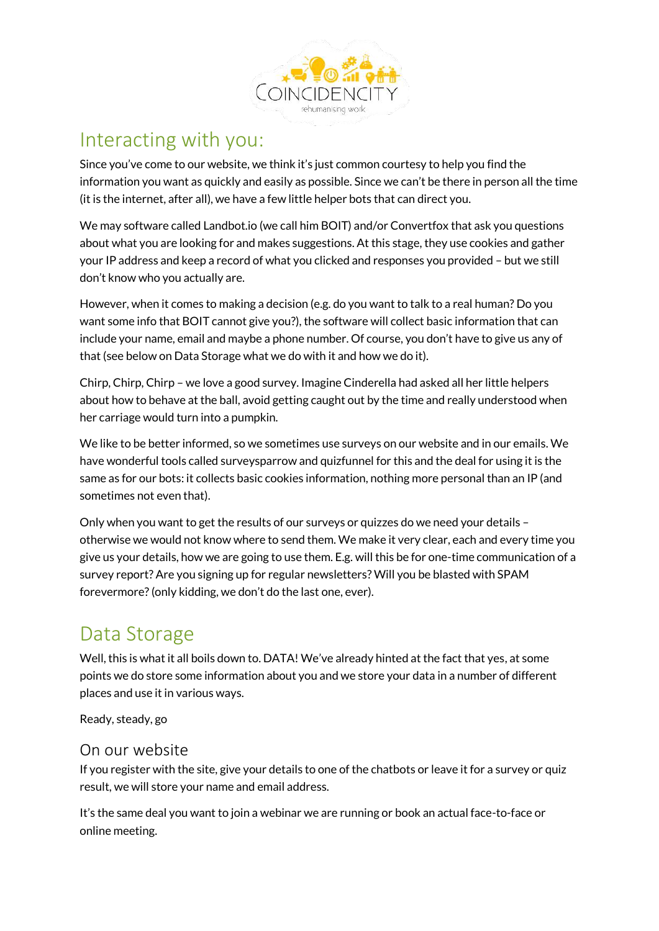

### <span id="page-2-0"></span>Interacting with you:

Since you've come to our website, we think it's just common courtesy to help you find the information you want as quickly and easily as possible. Since we can't be there in person all the time (it is the internet, after all), we have a few little helper bots that can direct you.

We may software called Landbot.io (we call him BOIT) and/or Convertfox that ask you questions about what you are looking for and makes suggestions. At this stage, they use cookies and gather your IP address and keep a record of what you clicked and responses you provided – but we still don't know who you actually are.

However, when it comes to making a decision (e.g. do you want to talk to a real human? Do you want some info that BOIT cannot give you?), the software will collect basic information that can include your name, email and maybe a phone number. Of course, you don't have to give us any of that (see below on Data Storage what we do with it and how we do it).

Chirp, Chirp, Chirp – we love a good survey. Imagine Cinderella had asked all her little helpers about how to behave at the ball, avoid getting caught out by the time and really understood when her carriage would turn into a pumpkin.

We like to be better informed, so we sometimes use surveys on our website and in our emails. We have wonderful tools called surveysparrow and quizfunnel for this and the deal for using it is the same as for our bots: it collects basic cookies information, nothing more personal than an IP (and sometimes not even that).

Only when you want to get the results of our surveys or quizzes do we need your details – otherwise we would not know where to send them. We make it very clear, each and every time you give us your details, how we are going to use them. E.g. will this be for one-time communication of a survey report? Are you signing up for regular newsletters? Will you be blasted with SPAM forevermore? (only kidding, we don't do the last one, ever).

### <span id="page-2-1"></span>Data Storage

Well, this is what it all boils down to. DATA! We've already hinted at the fact that yes, at some points we do store some information about you and we store your data in a number of different places and use it in various ways.

Ready, steady, go

#### <span id="page-2-2"></span>On our website

If you register with the site, give your details to one of the chatbots or leave it for a survey or quiz result, we will store your name and email address.

It's the same deal you want to join a webinar we are running or book an actual face-to-face or online meeting.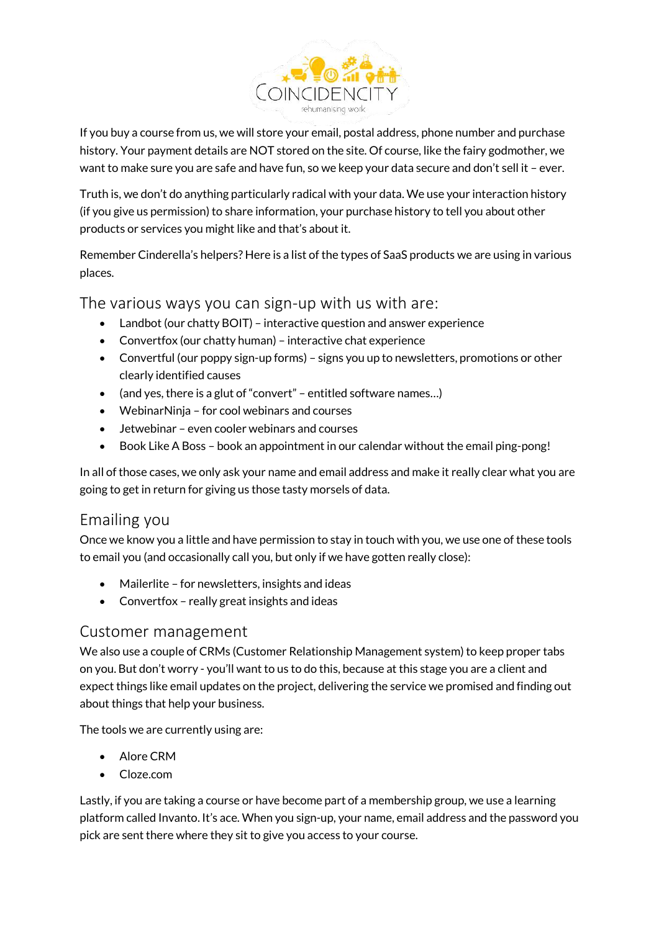

If you buy a course from us, we will store your email, postal address, phone number and purchase history. Your payment details are NOT stored on the site. Of course, like the fairy godmother, we want to make sure you are safe and have fun, so we keep your data secure and don't sell it – ever.

Truth is, we don't do anything particularly radical with your data. We use your interaction history (if you give us permission) to share information, your purchase history to tell you about other products or services you might like and that's about it.

Remember Cinderella's helpers? Here is a list of the types of SaaS products we are using in various places.

#### The various ways you can sign-up with us with are:

- Landbot (our chatty BOIT) interactive question and answer experience
- Convertfox (our chatty human) interactive chat experience
- Convertful (our poppy sign-up forms) signs you up to newsletters, promotions or other clearly identified causes
- (and yes, there is a glut of "convert" entitled software names...)
- WebinarNinja for cool webinars and courses
- Jetwebinar even cooler webinars and courses
- Book Like A Boss book an appointment in our calendar without the email ping-pong!

In all of those cases, we only ask your name and email address and make it really clear what you are going to get in return for giving us those tasty morsels of data.

#### <span id="page-3-0"></span>Emailing you

Once we know you a little and have permission to stay in touch with you, we use one of these tools to email you (and occasionally call you, but only if we have gotten really close):

- Mailerlite for newsletters, insights and ideas
- Convertfox really great insights and ideas

#### <span id="page-3-1"></span>Customer management

We also use a couple of CRMs (Customer Relationship Management system) to keep proper tabs on you. But don't worry - you'll want to us to do this, because at this stage you are a client and expect things like email updates on the project, delivering the service we promised and finding out about things that help your business.

The tools we are currently using are:

- Alore CRM
- Cloze.com

Lastly, if you are taking a course or have become part of a membership group, we use a learning platform called Invanto. It's ace. When you sign-up, your name, email address and the password you pick are sent there where they sit to give you access to your course.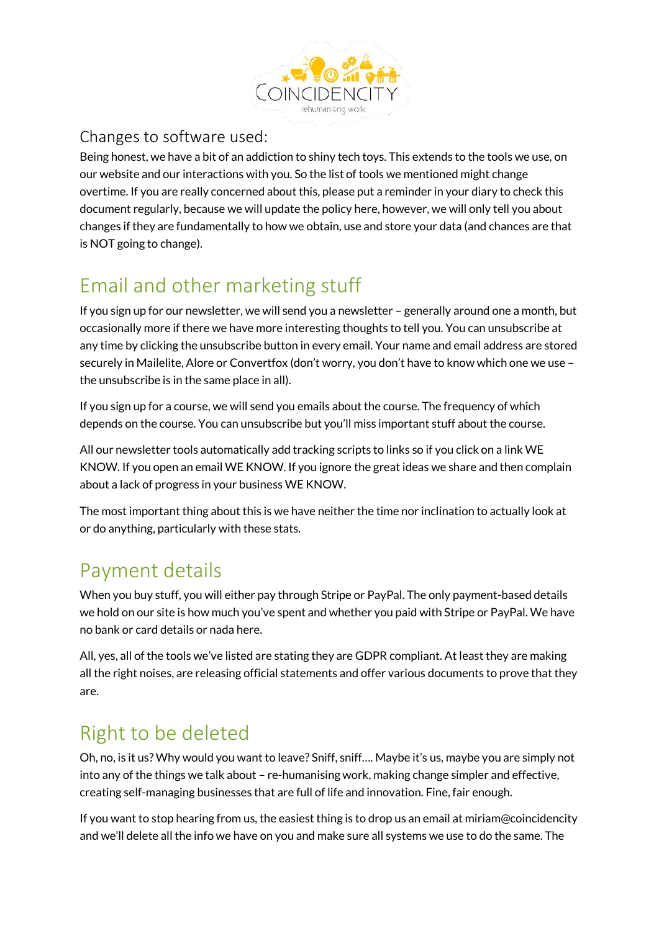

#### <span id="page-4-0"></span>Changes to software used:

Being honest, we have a bit of an addiction to shiny tech toys. This extends to the tools we use, on our website and our interactions with you. So the list of tools we mentioned might change overtime. If you are really concerned about this, please put a reminder in your diary to check this document regularly, because we will update the policy here, however, we will only tell you about changes if they are fundamentally to how we obtain, use and store your data (and chances are that is NOT going to change).

# <span id="page-4-1"></span>Email and other marketing stuff

If you sign up for our newsletter, we will send you a newsletter – generally around one a month, but occasionally more if there we have more interesting thoughts to tell you. You can unsubscribe at any time by clicking the unsubscribe button in every email. Your name and email address are stored securely in Mailelite, Alore or Convertfox (don't worry, you don't have to know which one we use – the unsubscribe is in the same place in all).

If you sign up for a course, we will send you emails about the course. The frequency of which depends on the course. You can unsubscribe but you'll miss important stuff about the course.

All our newsletter tools automatically add tracking scripts to links so if you click on a link WE KNOW. If you open an email WE KNOW. If you ignore the great ideas we share and then complain about a lack of progress in your business WE KNOW.

The most important thing about this is we have neither the time nor inclination to actually look at or do anything, particularly with these stats.

# <span id="page-4-2"></span>Payment details

When you buy stuff, you will either pay through Stripe or PayPal. The only payment-based details we hold on our site is how much you've spent and whether you paid with Stripe or PayPal. We have no bank or card details or nada here.

All, yes, all of the tools we've listed are stating they are GDPR compliant. At least they are making all the right noises, are releasing official statements and offer various documents to prove that they are.

# <span id="page-4-3"></span>Right to be deleted

Oh, no, is it us? Why would you want to leave? Sniff, sniff…. Maybe it's us, maybe you are simply not into any of the things we talk about – re-humanising work, making change simpler and effective, creating self-managing businesses that are full of life and innovation. Fine, fair enough.

If you want to stop hearing from us, the easiest thing is to drop us an email at miriam@coincidencity and we'll delete all the info we have on you and make sure all systems we use to do the same. The